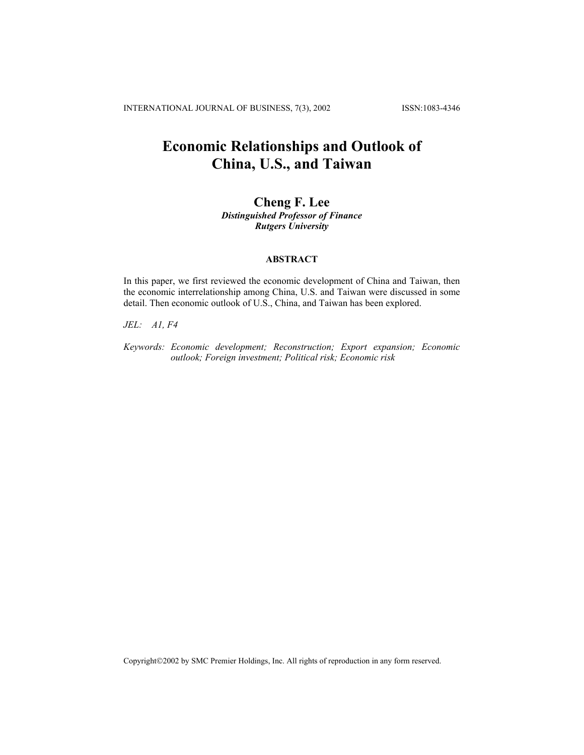INTERNATIONAL JOURNAL OF BUSINESS, 7(3), 2002 ISSN:1083-4346

## **Economic Relationships and Outlook of China, U.S., and Taiwan**

# **Cheng F. Lee**

*Distinguished Professor of Finance Rutgers University*

## **ABSTRACT**

In this paper, we first reviewed the economic development of China and Taiwan, then the economic interrelationship among China, U.S. and Taiwan were discussed in some detail. Then economic outlook of U.S., China, and Taiwan has been explored.

*JEL: A1, F4* 

*Keywords: Economic development; Reconstruction; Export expansion; Economic outlook; Foreign investment; Political risk; Economic risk* 

Copyright©2002 by SMC Premier Holdings, Inc. All rights of reproduction in any form reserved.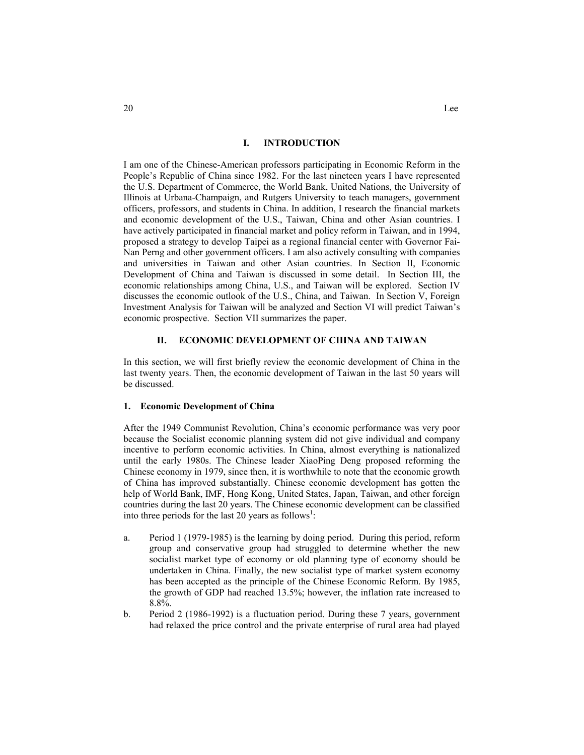### **I. INTRODUCTION**

I am one of the Chinese-American professors participating in Economic Reform in the People's Republic of China since 1982. For the last nineteen years I have represented the U.S. Department of Commerce, the World Bank, United Nations, the University of Illinois at Urbana-Champaign, and Rutgers University to teach managers, government officers, professors, and students in China. In addition, I research the financial markets and economic development of the U.S., Taiwan, China and other Asian countries. I have actively participated in financial market and policy reform in Taiwan, and in 1994, proposed a strategy to develop Taipei as a regional financial center with Governor Fai-Nan Perng and other government officers. I am also actively consulting with companies and universities in Taiwan and other Asian countries. In Section II, Economic Development of China and Taiwan is discussed in some detail. In Section III, the economic relationships among China, U.S., and Taiwan will be explored. Section IV discusses the economic outlook of the U.S., China, and Taiwan. In Section V, Foreign Investment Analysis for Taiwan will be analyzed and Section VI will predict Taiwan's economic prospective. Section VII summarizes the paper.

## **II. ECONOMIC DEVELOPMENT OF CHINA AND TAIWAN**

In this section, we will first briefly review the economic development of China in the last twenty years. Then, the economic development of Taiwan in the last 50 years will be discussed.

### **1. Economic Development of China**

After the 1949 Communist Revolution, China's economic performance was very poor because the Socialist economic planning system did not give individual and company incentive to perform economic activities. In China, almost everything is nationalized until the early 1980s. The Chinese leader XiaoPing Deng proposed reforming the Chinese economy in 1979, since then, it is worthwhile to note that the economic growth of China has improved substantially. Chinese economic development has gotten the help of World Bank, IMF, Hong Kong, United States, Japan, Taiwan, and other foreign countries during the last 20 years. The Chinese economic development can be classified into three periods for the last 20 years as follows<sup>1</sup>:

- a. Period 1 (1979-1985) is the learning by doing period. During this period, reform group and conservative group had struggled to determine whether the new socialist market type of economy or old planning type of economy should be undertaken in China. Finally, the new socialist type of market system economy has been accepted as the principle of the Chinese Economic Reform. By 1985, the growth of GDP had reached 13.5%; however, the inflation rate increased to 8.8%.
- b. Period 2 (1986-1992) is a fluctuation period. During these 7 years, government had relaxed the price control and the private enterprise of rural area had played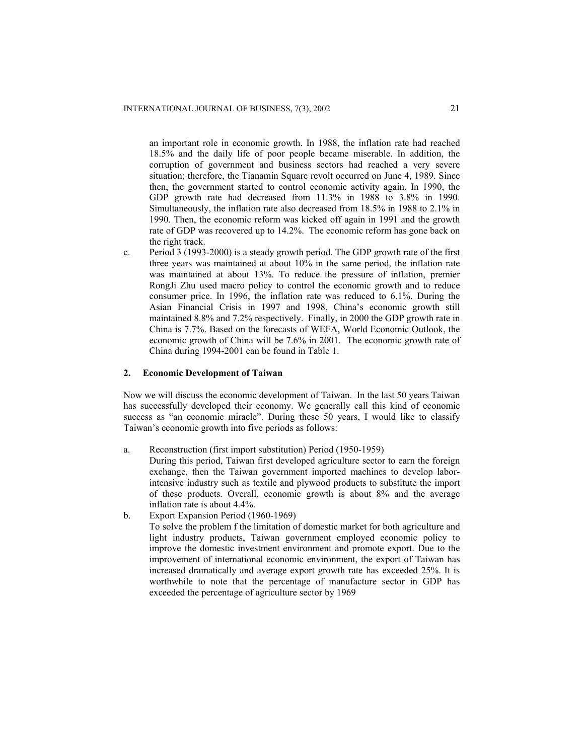an important role in economic growth. In 1988, the inflation rate had reached 18.5% and the daily life of poor people became miserable. In addition, the corruption of government and business sectors had reached a very severe situation; therefore, the Tianamin Square revolt occurred on June 4, 1989. Since then, the government started to control economic activity again. In 1990, the GDP growth rate had decreased from 11.3% in 1988 to 3.8% in 1990. Simultaneously, the inflation rate also decreased from 18.5% in 1988 to 2.1% in 1990. Then, the economic reform was kicked off again in 1991 and the growth rate of GDP was recovered up to 14.2%. The economic reform has gone back on the right track.

c. Period 3 (1993-2000) is a steady growth period. The GDP growth rate of the first three years was maintained at about 10% in the same period, the inflation rate was maintained at about 13%. To reduce the pressure of inflation, premier RongJi Zhu used macro policy to control the economic growth and to reduce consumer price. In 1996, the inflation rate was reduced to 6.1%. During the Asian Financial Crisis in 1997 and 1998, China's economic growth still maintained 8.8% and 7.2% respectively. Finally, in 2000 the GDP growth rate in China is 7.7%. Based on the forecasts of WEFA, World Economic Outlook, the economic growth of China will be 7.6% in 2001. The economic growth rate of China during 1994-2001 can be found in Table 1.

### **2. Economic Development of Taiwan**

Now we will discuss the economic development of Taiwan. In the last 50 years Taiwan has successfully developed their economy. We generally call this kind of economic success as "an economic miracle". During these 50 years, I would like to classify Taiwan's economic growth into five periods as follows:

a. Reconstruction (first import substitution) Period (1950-1959)

During this period, Taiwan first developed agriculture sector to earn the foreign exchange, then the Taiwan government imported machines to develop laborintensive industry such as textile and plywood products to substitute the import of these products. Overall, economic growth is about 8% and the average inflation rate is about 4.4%.

b. Export Expansion Period (1960-1969) To solve the problem f the limitation of domestic market for both agriculture and light industry products, Taiwan government employed economic policy to improve the domestic investment environment and promote export. Due to the improvement of international economic environment, the export of Taiwan has increased dramatically and average export growth rate has exceeded 25%. It is worthwhile to note that the percentage of manufacture sector in GDP has exceeded the percentage of agriculture sector by 1969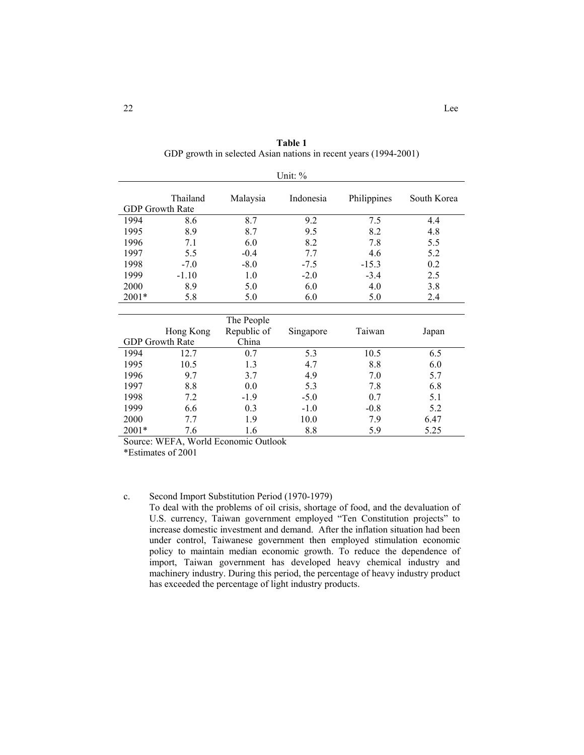| Unit: $\%$ |                                    |                                            |           |             |             |
|------------|------------------------------------|--------------------------------------------|-----------|-------------|-------------|
|            | Thailand<br><b>GDP</b> Growth Rate | Malaysia                                   | Indonesia | Philippines | South Korea |
| 1994       | 8.6                                | 8.7                                        | 9.2       | 7.5         | 4.4         |
| 1995       | 8.9                                | 8.7                                        | 9.5       | 8.2         | 4.8         |
| 1996       | 7.1                                | 6.0                                        | 8.2       | 7.8         | 5.5         |
| 1997       | 5.5                                | $-0.4$                                     | 7.7       | 4.6         | 5.2         |
| 1998       | $-7.0$                             | $-8.0$                                     | $-7.5$    | $-15.3$     | 0.2         |
| 1999       | $-1.10$                            | 1.0                                        | $-2.0$    | $-3.4$      | 2.5         |
| 2000       | 8.9                                | 5.0                                        | 6.0       | 4.0         | 3.8         |
| $2001*$    | 5.8                                | 5.0                                        | 6.0       | 5.0         | 2.4         |
|            |                                    |                                            |           |             |             |
|            |                                    | <b>111</b><br>$\mathbf{r}$<br>$\mathbf{H}$ |           |             |             |

**Table 1**  GDP growth in selected Asian nations in recent years (1994-2001)

|         |                        | The People  |           |        |       |
|---------|------------------------|-------------|-----------|--------|-------|
|         | Hong Kong              | Republic of | Singapore | Taiwan | Japan |
|         | <b>GDP</b> Growth Rate | China       |           |        |       |
| 1994    | 12.7                   | 0.7         | 5.3       | 10.5   | 6.5   |
| 1995    | 10.5                   | 1.3         | 4.7       | 8.8    | 6.0   |
| 1996    | 9.7                    | 3.7         | 4.9       | 7.0    | 5.7   |
| 1997    | 8.8                    | 0.0         | 5.3       | 7.8    | 6.8   |
| 1998    | 7.2                    | $-1.9$      | $-5.0$    | 0.7    | 5.1   |
| 1999    | 6.6                    | 0.3         | $-1.0$    | $-0.8$ | 5.2   |
| 2000    | 7.7                    | 1.9         | 10.0      | 7.9    | 6.47  |
| $2001*$ | 7.6                    | 1.6         | 8.8       | 5.9    | 5.25  |

Source: WEFA, World Economic Outlook

\*Estimates of 2001

## c. Second Import Substitution Period (1970-1979)

To deal with the problems of oil crisis, shortage of food, and the devaluation of U.S. currency, Taiwan government employed "Ten Constitution projects" to increase domestic investment and demand. After the inflation situation had been under control, Taiwanese government then employed stimulation economic policy to maintain median economic growth. To reduce the dependence of import, Taiwan government has developed heavy chemical industry and machinery industry. During this period, the percentage of heavy industry product has exceeded the percentage of light industry products.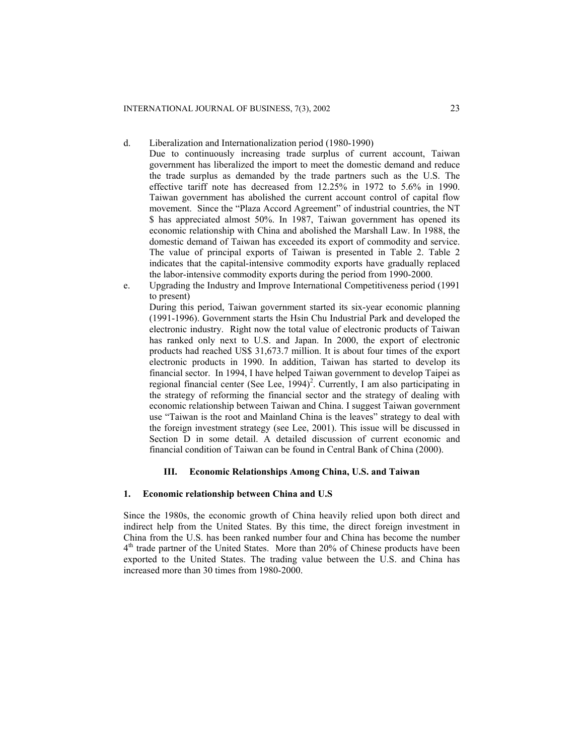d. Liberalization and Internationalization period (1980-1990)

- Due to continuously increasing trade surplus of current account, Taiwan government has liberalized the import to meet the domestic demand and reduce the trade surplus as demanded by the trade partners such as the U.S. The effective tariff note has decreased from 12.25% in 1972 to 5.6% in 1990. Taiwan government has abolished the current account control of capital flow movement. Since the "Plaza Accord Agreement" of industrial countries, the NT \$ has appreciated almost 50%. In 1987, Taiwan government has opened its economic relationship with China and abolished the Marshall Law. In 1988, the domestic demand of Taiwan has exceeded its export of commodity and service. The value of principal exports of Taiwan is presented in Table 2. Table 2 indicates that the capital-intensive commodity exports have gradually replaced the labor-intensive commodity exports during the period from 1990-2000.
- e. Upgrading the Industry and Improve International Competitiveness period (1991 to present) During this period, Taiwan government started its six-year economic planning

(1991-1996). Government starts the Hsin Chu Industrial Park and developed the electronic industry. Right now the total value of electronic products of Taiwan has ranked only next to U.S. and Japan. In 2000, the export of electronic products had reached US\$ 31,673.7 million. It is about four times of the export electronic products in 1990. In addition, Taiwan has started to develop its financial sector. In 1994, I have helped Taiwan government to develop Taipei as regional financial center (See Lee,  $1994$ )<sup>2</sup>. Currently, I am also participating in the strategy of reforming the financial sector and the strategy of dealing with economic relationship between Taiwan and China. I suggest Taiwan government use "Taiwan is the root and Mainland China is the leaves" strategy to deal with the foreign investment strategy (see Lee, 2001). This issue will be discussed in Section D in some detail. A detailed discussion of current economic and financial condition of Taiwan can be found in Central Bank of China (2000).

## **III. Economic Relationships Among China, U.S. and Taiwan**

## **1. Economic relationship between China and U.S**

Since the 1980s, the economic growth of China heavily relied upon both direct and indirect help from the United States. By this time, the direct foreign investment in China from the U.S. has been ranked number four and China has become the number 4th trade partner of the United States. More than 20% of Chinese products have been exported to the United States. The trading value between the U.S. and China has increased more than 30 times from 1980-2000.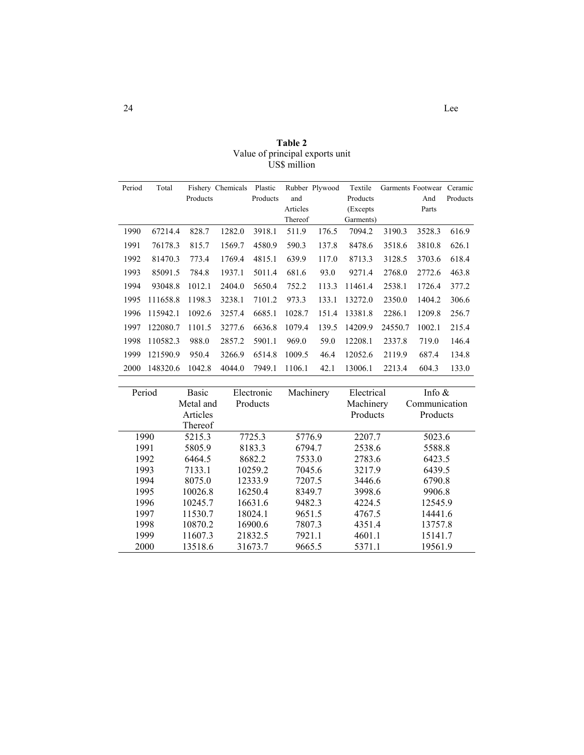| Period | Total    |          | Fishery Chemicals | Plastic  |          | Rubber Plywood | Textile   |         | Garments Footwear | Ceramic  |
|--------|----------|----------|-------------------|----------|----------|----------------|-----------|---------|-------------------|----------|
|        |          | Products |                   | Products | and      |                | Products  |         | And               | Products |
|        |          |          |                   |          | Articles |                | (Excepts) |         | Parts             |          |
|        |          |          |                   |          | Thereof  |                | Garments) |         |                   |          |
| 1990   | 67214.4  | 828.7    | 1282.0            | 3918.1   | 511.9    | 176.5          | 7094.2    | 3190.3  | 3528.3            | 616.9    |
| 1991   | 76178.3  | 815.7    | 1569.7            | 4580.9   | 590.3    | 137.8          | 8478.6    | 3518.6  | 3810.8            | 626.1    |
| 1992   | 81470.3  | 773.4    | 1769.4            | 4815.1   | 639.9    | 117.0          | 8713.3    | 3128.5  | 3703.6            | 618.4    |
| 1993   | 85091.5  | 784.8    | 1937.1            | 5011.4   | 681.6    | 93.0           | 9271.4    | 2768.0  | 2772.6            | 463.8    |
| 1994   | 93048.8  | 1012.1   | 2404.0            | 5650.4   | 752.2    | 113.3          | 11461.4   | 2538.1  | 1726.4            | 377.2    |
| 1995   | 111658.8 | 1198.3   | 3238.1            | 7101.2   | 973.3    | 133.1          | 13272.0   | 2350.0  | 1404.2            | 306.6    |
| 1996   | 115942.1 | 1092.6   | 3257.4            | 6685.1   | 1028.7   | 151.4          | 13381.8   | 2286.1  | 1209.8            | 256.7    |
| 1997   | 122080.7 | 1101.5   | 3277.6            | 6636.8   | 1079.4   | 139.5          | 14209.9   | 24550.7 | 1002.1            | 215.4    |
| 1998   | 110582.3 | 988.0    | 2857.2            | 5901.1   | 969.0    | 59.0           | 12208.1   | 2337.8  | 719.0             | 146.4    |
| 1999   | 121590.9 | 950.4    | 3266.9            | 6514.8   | 1009.5   | 46.4           | 12052.6   | 2119.9  | 687.4             | 134.8    |
| 2000   | 148320.6 | 1042.8   | 4044.0            | 7949.1   | 1106.1   | 42.1           | 13006.1   | 2213.4  | 604.3             | 133.0    |

| Table 2                         |
|---------------------------------|
| Value of principal exports unit |
| US\$ million                    |

| Period | <b>Basic</b><br>Metal and | Electronic<br>Products | Machinery | Electrical<br>Machinery | Info $\&$<br>Communication |
|--------|---------------------------|------------------------|-----------|-------------------------|----------------------------|
|        | Articles                  |                        |           | Products                | Products                   |
|        | Thereof                   |                        |           |                         |                            |
| 1990   | 5215.3                    | 7725.3                 | 5776.9    | 2207.7                  | 5023.6                     |
| 1991   | 5805.9                    | 8183.3                 | 6794.7    | 2538.6                  | 5588.8                     |
| 1992   | 6464.5                    | 8682.2                 | 7533.0    | 2783.6                  | 6423.5                     |
| 1993   | 7133.1                    | 10259.2                | 7045.6    | 3217.9                  | 6439.5                     |
| 1994   | 8075.0                    | 12333.9                | 7207.5    | 3446.6                  | 6790.8                     |
| 1995   | 10026.8                   | 16250.4                | 8349.7    | 3998.6                  | 9906.8                     |
| 1996   | 10245.7                   | 16631.6                | 9482.3    | 4224.5                  | 12545.9                    |
| 1997   | 11530.7                   | 18024.1                | 9651.5    | 4767.5                  | 14441.6                    |
| 1998   | 10870.2                   | 16900.6                | 7807.3    | 4351.4                  | 13757.8                    |
| 1999   | 11607.3                   | 21832.5                | 7921.1    | 4601.1                  | 15141.7                    |
| 2000   | 13518.6                   | 31673.7                | 9665.5    | 5371.1                  | 19561.9                    |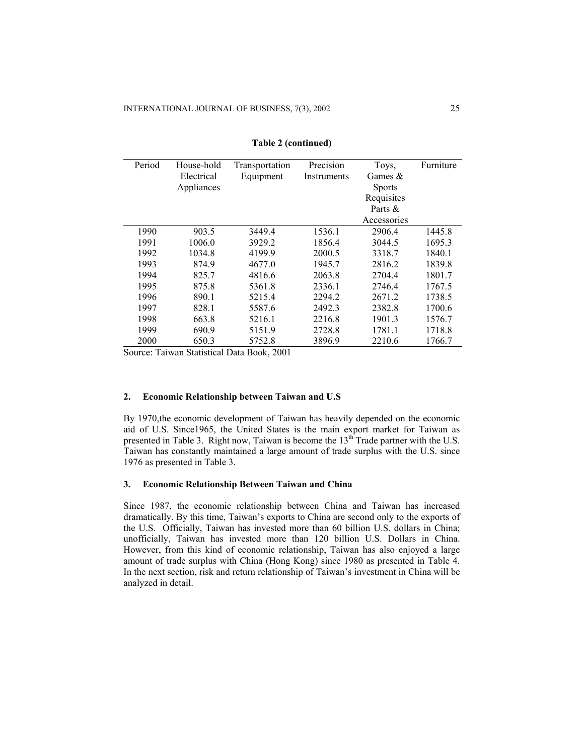| Period | House-hold | Transportation | Precision   | Toys,         | Furniture |
|--------|------------|----------------|-------------|---------------|-----------|
|        | Electrical | Equipment      | Instruments | Games $&$     |           |
|        | Appliances |                |             | <b>Sports</b> |           |
|        |            |                |             | Requisites    |           |
|        |            |                |             | Parts &       |           |
|        |            |                |             | Accessories   |           |
| 1990   | 903.5      | 3449.4         | 1536.1      | 2906.4        | 1445.8    |
| 1991   | 1006.0     | 3929.2         | 1856.4      | 3044.5        | 1695.3    |
| 1992   | 1034.8     | 4199.9         | 2000.5      | 3318.7        | 1840.1    |
| 1993   | 874.9      | 4677.0         | 1945.7      | 2816.2        | 1839.8    |
| 1994   | 825.7      | 4816.6         | 2063.8      | 2704.4        | 1801.7    |
| 1995   | 875.8      | 5361.8         | 2336.1      | 2746.4        | 1767.5    |
| 1996   | 890.1      | 5215.4         | 2294.2      | 2671.2        | 1738.5    |
| 1997   | 828.1      | 5587.6         | 2492.3      | 2382.8        | 1700.6    |
| 1998   | 663.8      | 5216.1         | 2216.8      | 1901.3        | 1576.7    |
| 1999   | 690.9      | 5151.9         | 2728.8      | 1781.1        | 1718.8    |
| 2000   | 650.3      | 5752.8         | 3896.9      | 2210.6        | 1766.7    |

**Table 2 (continued)** 

Source: Taiwan Statistical Data Book, 2001

#### **2. Economic Relationship between Taiwan and U.S**

By 1970,the economic development of Taiwan has heavily depended on the economic aid of U.S. Since1965, the United States is the main export market for Taiwan as presented in Table 3. Right now, Taiwan is become the  $13<sup>th</sup>$  Trade partner with the U.S. Taiwan has constantly maintained a large amount of trade surplus with the U.S. since 1976 as presented in Table 3.

## **3. Economic Relationship Between Taiwan and China**

Since 1987, the economic relationship between China and Taiwan has increased dramatically. By this time, Taiwan's exports to China are second only to the exports of the U.S. Officially, Taiwan has invested more than 60 billion U.S. dollars in China; unofficially, Taiwan has invested more than 120 billion U.S. Dollars in China. However, from this kind of economic relationship, Taiwan has also enjoyed a large amount of trade surplus with China (Hong Kong) since 1980 as presented in Table 4. In the next section, risk and return relationship of Taiwan's investment in China will be analyzed in detail.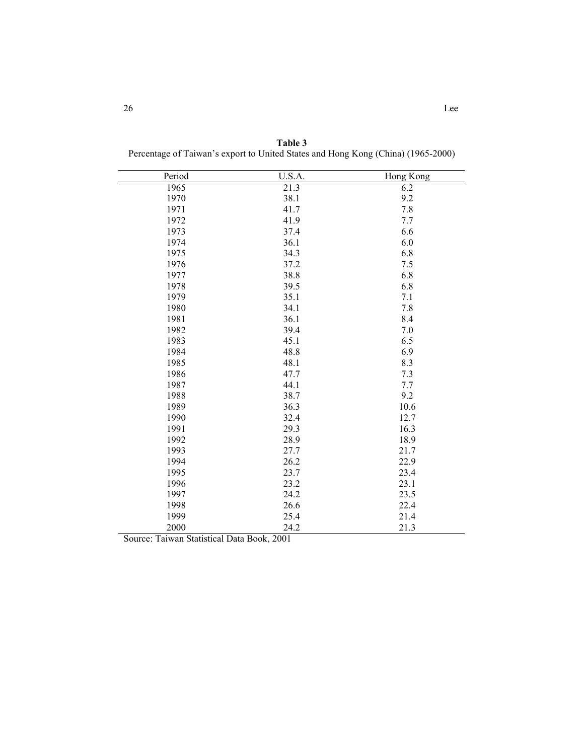| Period | U.S.A. | Hong Kong |
|--------|--------|-----------|
| 1965   | 21.3   | 6.2       |
| 1970   | 38.1   | 9.2       |
| 1971   | 41.7   | 7.8       |
| 1972   | 41.9   | 7.7       |
| 1973   | 37.4   | 6.6       |
| 1974   | 36.1   | 6.0       |
| 1975   | 34.3   | 6.8       |
| 1976   | 37.2   | 7.5       |
| 1977   | 38.8   | 6.8       |
| 1978   | 39.5   | 6.8       |
| 1979   | 35.1   | 7.1       |
| 1980   | 34.1   | 7.8       |
| 1981   | 36.1   | 8.4       |
| 1982   | 39.4   | 7.0       |
| 1983   | 45.1   | 6.5       |
| 1984   | 48.8   | 6.9       |
| 1985   | 48.1   | 8.3       |
| 1986   | 47.7   | 7.3       |
| 1987   | 44.1   | 7.7       |
| 1988   | 38.7   | 9.2       |
| 1989   | 36.3   | 10.6      |
| 1990   | 32.4   | 12.7      |
| 1991   | 29.3   | 16.3      |
| 1992   | 28.9   | 18.9      |
| 1993   | 27.7   | 21.7      |
| 1994   | 26.2   | 22.9      |
| 1995   | 23.7   | 23.4      |
| 1996   | 23.2   | 23.1      |
| 1997   | 24.2   | 23.5      |
| 1998   | 26.6   | 22.4      |
| 1999   | 25.4   | 21.4      |
| 2000   | 24.2   | 21.3      |

**Table 3**  Percentage of Taiwan's export to United States and Hong Kong (China) (1965-2000)

Source: Taiwan Statistical Data Book, 2001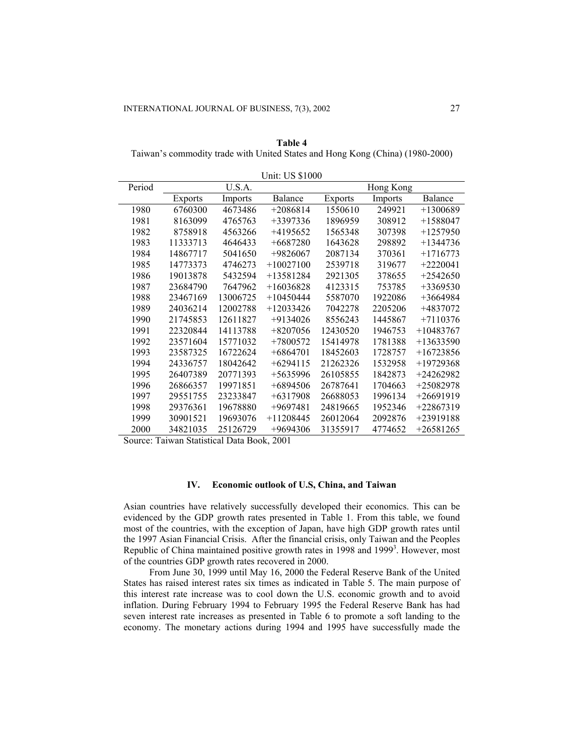| Table 4                                                                       |
|-------------------------------------------------------------------------------|
| Taiwan's commodity trade with United States and Hong Kong (China) (1980-2000) |

|        |                |          | UIIII. UƏ ƏTUVU |          |                |                |
|--------|----------------|----------|-----------------|----------|----------------|----------------|
| Period |                | U.S.A.   |                 |          | Hong Kong      |                |
|        | <b>Exports</b> | Imports  | Balance         | Exports  | <b>Imports</b> | <b>Balance</b> |
| 1980   | 6760300        | 4673486  | $+2086814$      | 1550610  | 249921         | $+1300689$     |
| 1981   | 8163099        | 4765763  | $+3397336$      | 1896959  | 308912         | $+1588047$     |
| 1982   | 8758918        | 4563266  | $+4195652$      | 1565348  | 307398         | $+1257950$     |
| 1983   | 11333713       | 4646433  | $+6687280$      | 1643628  | 298892         | $+1344736$     |
| 1984   | 14867717       | 5041650  | +9826067        | 2087134  | 370361         | $+1716773$     |
| 1985   | 14773373       | 4746273  | $+10027100$     | 2539718  | 319677         | $+2220041$     |
| 1986   | 19013878       | 5432594  | $+13581284$     | 2921305  | 378655         | $+2542650$     |
| 1987   | 23684790       | 7647962  | $+16036828$     | 4123315  | 753785         | $+3369530$     |
| 1988   | 23467169       | 13006725 | $+10450444$     | 5587070  | 1922086        | $+3664984$     |
| 1989   | 24036214       | 12002788 | $+12033426$     | 7042278  | 2205206        | +4837072       |
| 1990   | 21745853       | 12611827 | $+9134026$      | 8556243  | 1445867        | $+7110376$     |
| 1991   | 22320844       | 14113788 | $+8207056$      | 12430520 | 1946753        | +10483767      |
| 1992   | 23571604       | 15771032 | $+7800572$      | 15414978 | 1781388        | $+13633590$    |
| 1993   | 23587325       | 16722624 | $+6864701$      | 18452603 | 1728757        | $+16723856$    |
| 1994   | 24336757       | 18042642 | $+6294115$      | 21262326 | 1532958        | +19729368      |
| 1995   | 26407389       | 20771393 | $+5635996$      | 26105855 | 1842873        | +24262982      |
| 1996   | 26866357       | 19971851 | $+6894506$      | 26787641 | 1704663        | +25082978      |
| 1997   | 29551755       | 23233847 | $+6317908$      | 26688053 | 1996134        | $+26691919$    |
| 1998   | 29376361       | 19678880 | $+9697481$      | 24819665 | 1952346        | $+22867319$    |
| 1999   | 30901521       | 19693076 | $+11208445$     | 26012064 | 2092876        | +23919188      |
| 2000   | 34821035       | 25126729 | $+9694306$      | 31355917 | 4774652        | $+26581265$    |

Unit: US \$1000

Source: Taiwan Statistical Data Book, 2001

## **IV. Economic outlook of U.S, China, and Taiwan**

Asian countries have relatively successfully developed their economics. This can be evidenced by the GDP growth rates presented in Table 1. From this table, we found most of the countries, with the exception of Japan, have high GDP growth rates until the 1997 Asian Financial Crisis. After the financial crisis, only Taiwan and the Peoples Republic of China maintained positive growth rates in 1998 and 1999<sup>3</sup>. However, most of the countries GDP growth rates recovered in 2000.

From June 30, 1999 until May 16, 2000 the Federal Reserve Bank of the United States has raised interest rates six times as indicated in Table 5. The main purpose of this interest rate increase was to cool down the U.S. economic growth and to avoid inflation. During February 1994 to February 1995 the Federal Reserve Bank has had seven interest rate increases as presented in Table 6 to promote a soft landing to the economy. The monetary actions during 1994 and 1995 have successfully made the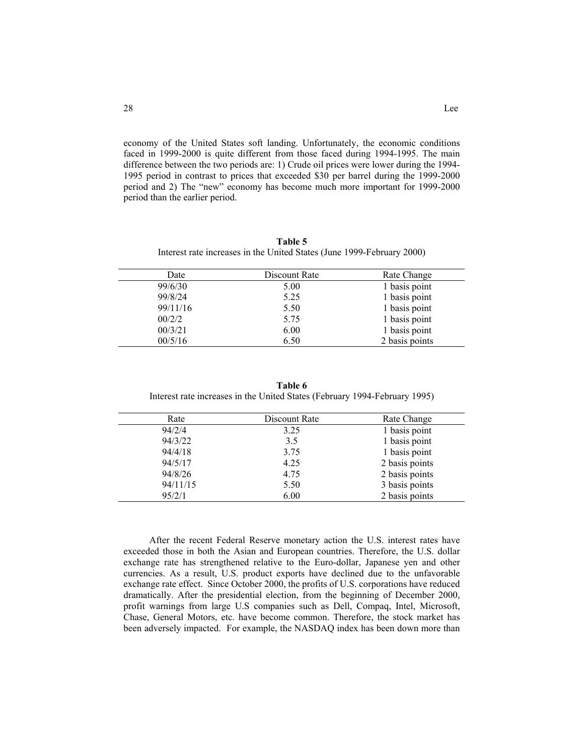economy of the United States soft landing. Unfortunately, the economic conditions faced in 1999-2000 is quite different from those faced during 1994-1995. The main difference between the two periods are: 1) Crude oil prices were lower during the 1994- 1995 period in contrast to prices that exceeded \$30 per barrel during the 1999-2000 period and 2) The "new" economy has become much more important for 1999-2000 period than the earlier period.

| Table 5                                                                |
|------------------------------------------------------------------------|
| Interest rate increases in the United States (June 1999-February 2000) |

| Date     | Discount Rate | Rate Change    |
|----------|---------------|----------------|
| 99/6/30  | 5.00          | 1 basis point  |
| 99/8/24  | 5.25          | 1 basis point  |
| 99/11/16 | 5.50          | 1 basis point  |
| 00/2/2   | 5.75          | 1 basis point  |
| 00/3/21  | 6.00          | 1 basis point  |
| 00/5/16  | 6.50          | 2 basis points |

**Table 6**  Interest rate increases in the United States (February 1994-February 1995)

| Rate     | Discount Rate | Rate Change    |
|----------|---------------|----------------|
| 94/2/4   | 3.25          | 1 basis point  |
| 94/3/22  | 3.5           | 1 basis point  |
| 94/4/18  | 3.75          | 1 basis point  |
| 94/5/17  | 4.25          | 2 basis points |
| 94/8/26  | 4.75          | 2 basis points |
| 94/11/15 | 5.50          | 3 basis points |
| 95/2/1   | 6.00          | 2 basis points |

After the recent Federal Reserve monetary action the U.S. interest rates have exceeded those in both the Asian and European countries. Therefore, the U.S. dollar exchange rate has strengthened relative to the Euro-dollar, Japanese yen and other currencies. As a result, U.S. product exports have declined due to the unfavorable exchange rate effect. Since October 2000, the profits of U.S. corporations have reduced dramatically. After the presidential election, from the beginning of December 2000, profit warnings from large U.S companies such as Dell, Compaq, Intel, Microsoft, Chase, General Motors, etc. have become common. Therefore, the stock market has been adversely impacted. For example, the NASDAQ index has been down more than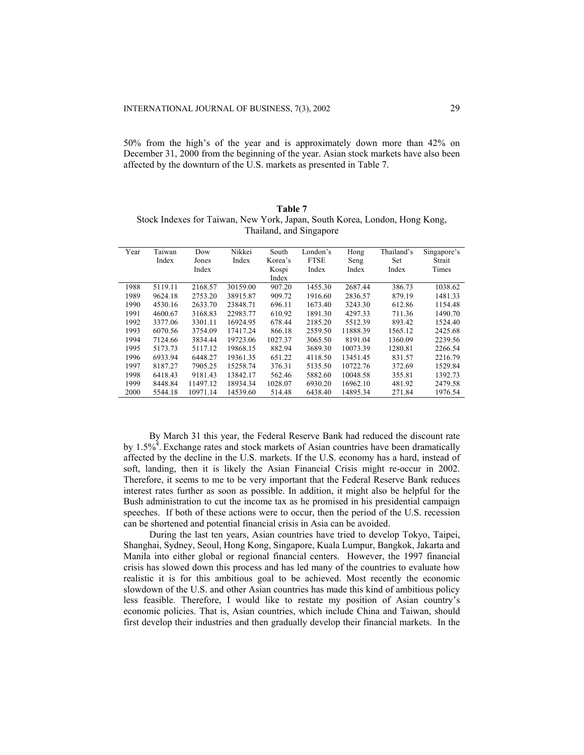50% from the high's of the year and is approximately down more than 42% on December 31, 2000 from the beginning of the year. Asian stock markets have also been affected by the downturn of the U.S. markets as presented in Table 7.

| Table 7                                                                    |  |  |  |  |  |  |  |  |
|----------------------------------------------------------------------------|--|--|--|--|--|--|--|--|
| Stock Indexes for Taiwan, New York, Japan, South Korea, London, Hong Kong, |  |  |  |  |  |  |  |  |
| Thailand, and Singapore                                                    |  |  |  |  |  |  |  |  |

| Year | Taiwan  | Dow      | Nikkei   | South   | London's    | Hong     | Thailand's | Singapore's |
|------|---------|----------|----------|---------|-------------|----------|------------|-------------|
|      | Index   | Jones    | Index    | Korea's | <b>FTSE</b> | Seng     | Set        | Strait      |
|      |         | Index    |          | Kospi   | Index       | Index    | Index      | Times       |
|      |         |          |          | Index   |             |          |            |             |
| 1988 | 5119.11 | 2168.57  | 30159.00 | 907.20  | 1455.30     | 2687.44  | 386.73     | 1038.62     |
| 1989 | 9624.18 | 2753.20  | 38915.87 | 909.72  | 1916.60     | 2836.57  | 879.19     | 1481.33     |
| 1990 | 4530.16 | 2633.70  | 23848.71 | 696.11  | 1673.40     | 3243.30  | 612.86     | 1154.48     |
| 1991 | 4600.67 | 3168.83  | 22983.77 | 610.92  | 1891.30     | 4297.33  | 711.36     | 1490.70     |
| 1992 | 3377.06 | 3301.11  | 16924.95 | 678.44  | 2185.20     | 5512.39  | 893.42     | 1524.40     |
| 1993 | 6070.56 | 3754.09  | 17417.24 | 866.18  | 2559.50     | 11888.39 | 1565.12    | 2425.68     |
| 1994 | 7124.66 | 3834.44  | 19723.06 | 1027.37 | 3065.50     | 8191.04  | 1360.09    | 2239.56     |
| 1995 | 5173.73 | 5117.12  | 19868.15 | 882.94  | 3689.30     | 10073.39 | 1280.81    | 2266.54     |
| 1996 | 6933.94 | 6448.27  | 19361.35 | 651.22  | 4118.50     | 13451.45 | 831.57     | 2216.79     |
| 1997 | 8187.27 | 7905.25  | 15258.74 | 376.31  | 5135.50     | 10722.76 | 372.69     | 1529.84     |
| 1998 | 6418.43 | 9181.43  | 13842.17 | 562.46  | 5882.60     | 10048.58 | 355.81     | 1392.73     |
| 1999 | 8448.84 | 11497.12 | 18934.34 | 1028.07 | 6930.20     | 16962.10 | 481.92     | 2479.58     |
| 2000 | 5544.18 | 10971.14 | 14539.60 | 514.48  | 6438.40     | 14895.34 | 271.84     | 1976.54     |

By March 31 this year, the Federal Reserve Bank had reduced the discount rate by 1.5%<sup>4</sup>. Exchange rates and stock markets of Asian countries have been dramatically affected by the decline in the U.S. markets. If the U.S. economy has a hard, instead of soft, landing, then it is likely the Asian Financial Crisis might re-occur in 2002. Therefore, it seems to me to be very important that the Federal Reserve Bank reduces interest rates further as soon as possible. In addition, it might also be helpful for the Bush administration to cut the income tax as he promised in his presidential campaign speeches. If both of these actions were to occur, then the period of the U.S. recession can be shortened and potential financial crisis in Asia can be avoided.

During the last ten years, Asian countries have tried to develop Tokyo, Taipei, Shanghai, Sydney, Seoul, Hong Kong, Singapore, Kuala Lumpur, Bangkok, Jakarta and Manila into either global or regional financial centers. However, the 1997 financial crisis has slowed down this process and has led many of the countries to evaluate how realistic it is for this ambitious goal to be achieved. Most recently the economic slowdown of the U.S. and other Asian countries has made this kind of ambitious policy less feasible. Therefore, I would like to restate my position of Asian country's economic policies. That is, Asian countries, which include China and Taiwan, should first develop their industries and then gradually develop their financial markets. In the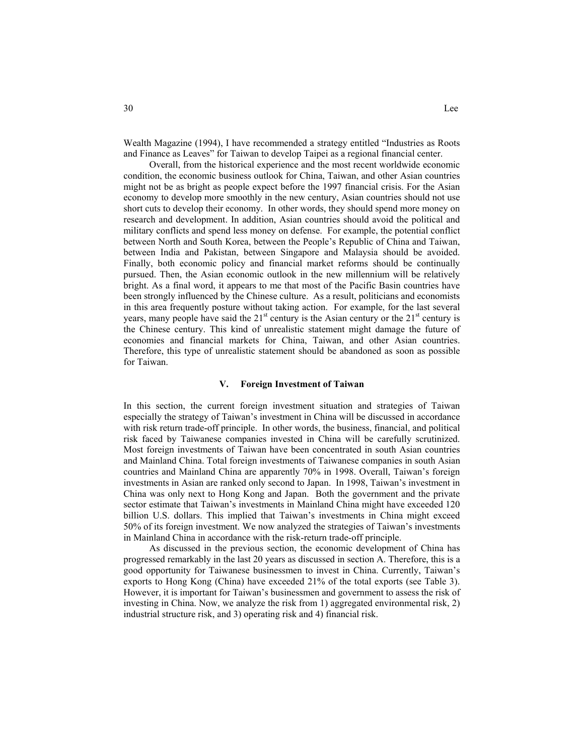Wealth Magazine (1994), I have recommended a strategy entitled "Industries as Roots and Finance as Leaves" for Taiwan to develop Taipei as a regional financial center.

Overall, from the historical experience and the most recent worldwide economic condition, the economic business outlook for China, Taiwan, and other Asian countries might not be as bright as people expect before the 1997 financial crisis. For the Asian economy to develop more smoothly in the new century, Asian countries should not use short cuts to develop their economy. In other words, they should spend more money on research and development. In addition, Asian countries should avoid the political and military conflicts and spend less money on defense. For example, the potential conflict between North and South Korea, between the People's Republic of China and Taiwan, between India and Pakistan, between Singapore and Malaysia should be avoided. Finally, both economic policy and financial market reforms should be continually pursued. Then, the Asian economic outlook in the new millennium will be relatively bright. As a final word, it appears to me that most of the Pacific Basin countries have been strongly influenced by the Chinese culture. As a result, politicians and economists in this area frequently posture without taking action. For example, for the last several years, many people have said the  $21<sup>st</sup>$  century is the Asian century or the  $21<sup>st</sup>$  century is the Chinese century. This kind of unrealistic statement might damage the future of economies and financial markets for China, Taiwan, and other Asian countries. Therefore, this type of unrealistic statement should be abandoned as soon as possible for Taiwan.

#### **V. Foreign Investment of Taiwan**

In this section, the current foreign investment situation and strategies of Taiwan especially the strategy of Taiwan's investment in China will be discussed in accordance with risk return trade-off principle. In other words, the business, financial, and political risk faced by Taiwanese companies invested in China will be carefully scrutinized. Most foreign investments of Taiwan have been concentrated in south Asian countries and Mainland China. Total foreign investments of Taiwanese companies in south Asian countries and Mainland China are apparently 70% in 1998. Overall, Taiwan's foreign investments in Asian are ranked only second to Japan. In 1998, Taiwan's investment in China was only next to Hong Kong and Japan. Both the government and the private sector estimate that Taiwan's investments in Mainland China might have exceeded 120 billion U.S. dollars. This implied that Taiwan's investments in China might exceed 50% of its foreign investment. We now analyzed the strategies of Taiwan's investments in Mainland China in accordance with the risk-return trade-off principle.

As discussed in the previous section, the economic development of China has progressed remarkably in the last 20 years as discussed in section A. Therefore, this is a good opportunity for Taiwanese businessmen to invest in China. Currently, Taiwan's exports to Hong Kong (China) have exceeded 21% of the total exports (see Table 3). However, it is important for Taiwan's businessmen and government to assess the risk of investing in China. Now, we analyze the risk from 1) aggregated environmental risk, 2) industrial structure risk, and 3) operating risk and 4) financial risk.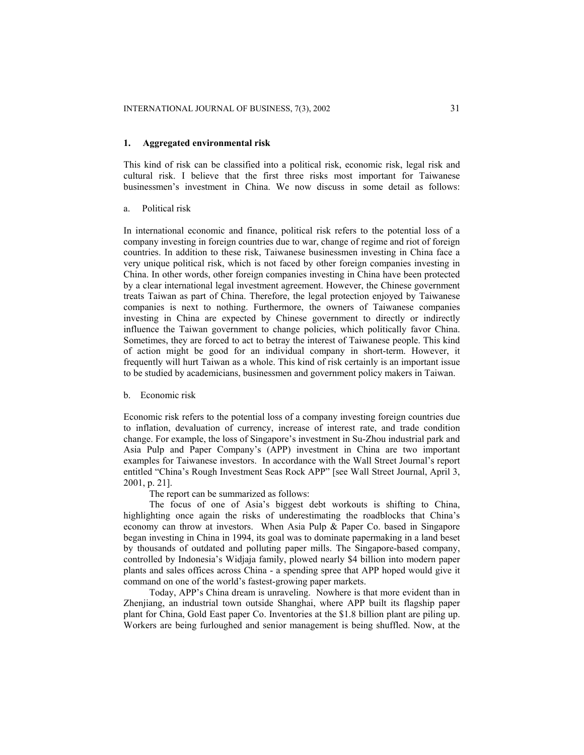#### **1. Aggregated environmental risk**

This kind of risk can be classified into a political risk, economic risk, legal risk and cultural risk. I believe that the first three risks most important for Taiwanese businessmen's investment in China. We now discuss in some detail as follows:

#### a. Political risk

In international economic and finance, political risk refers to the potential loss of a company investing in foreign countries due to war, change of regime and riot of foreign countries. In addition to these risk, Taiwanese businessmen investing in China face a very unique political risk, which is not faced by other foreign companies investing in China. In other words, other foreign companies investing in China have been protected by a clear international legal investment agreement. However, the Chinese government treats Taiwan as part of China. Therefore, the legal protection enjoyed by Taiwanese companies is next to nothing. Furthermore, the owners of Taiwanese companies investing in China are expected by Chinese government to directly or indirectly influence the Taiwan government to change policies, which politically favor China. Sometimes, they are forced to act to betray the interest of Taiwanese people. This kind of action might be good for an individual company in short-term. However, it frequently will hurt Taiwan as a whole. This kind of risk certainly is an important issue to be studied by academicians, businessmen and government policy makers in Taiwan.

#### b. Economic risk

Economic risk refers to the potential loss of a company investing foreign countries due to inflation, devaluation of currency, increase of interest rate, and trade condition change. For example, the loss of Singapore's investment in Su-Zhou industrial park and Asia Pulp and Paper Company's (APP) investment in China are two important examples for Taiwanese investors. In accordance with the Wall Street Journal's report entitled "China's Rough Investment Seas Rock APP" [see Wall Street Journal, April 3, 2001, p. 21].

The report can be summarized as follows:

The focus of one of Asia's biggest debt workouts is shifting to China, highlighting once again the risks of underestimating the roadblocks that China's economy can throw at investors. When Asia Pulp & Paper Co. based in Singapore began investing in China in 1994, its goal was to dominate papermaking in a land beset by thousands of outdated and polluting paper mills. The Singapore-based company, controlled by Indonesia's Widjaja family, plowed nearly \$4 billion into modern paper plants and sales offices across China - a spending spree that APP hoped would give it command on one of the world's fastest-growing paper markets.

Today, APP's China dream is unraveling. Nowhere is that more evident than in Zhenjiang, an industrial town outside Shanghai, where APP built its flagship paper plant for China, Gold East paper Co. Inventories at the \$1.8 billion plant are piling up. Workers are being furloughed and senior management is being shuffled. Now, at the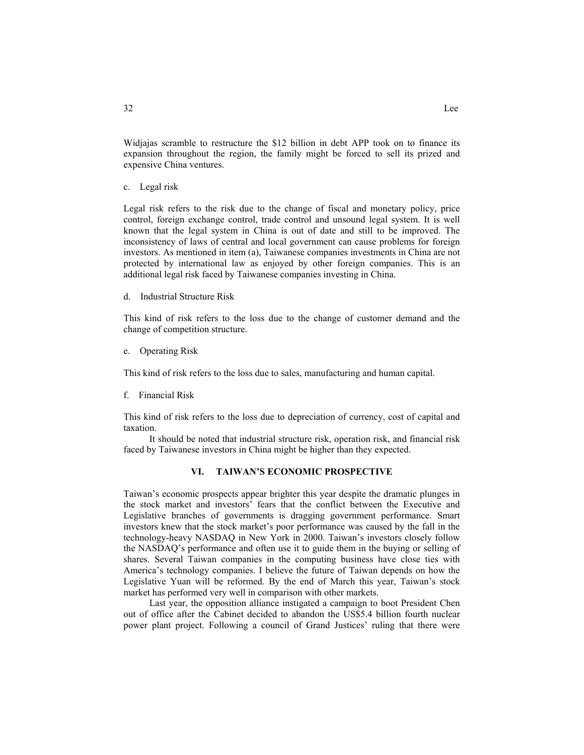Widjajas scramble to restructure the \$12 billion in debt APP took on to finance its expansion throughout the region, the family might be forced to sell its prized and expensive China ventures.

c. Legal risk

Legal risk refers to the risk due to the change of fiscal and monetary policy, price control, foreign exchange control, trade control and unsound legal system. It is well known that the legal system in China is out of date and still to be improved. The inconsistency of laws of central and local government can cause problems for foreign investors. As mentioned in item (a), Taiwanese companies investments in China are not protected by international law as enjoyed by other foreign companies. This is an additional legal risk faced by Taiwanese companies investing in China.

d. Industrial Structure Risk

This kind of risk refers to the loss due to the change of customer demand and the change of competition structure.

e. Operating Risk

This kind of risk refers to the loss due to sales, manufacturing and human capital.

f. Financial Risk

This kind of risk refers to the loss due to depreciation of currency, cost of capital and taxation.

It should be noted that industrial structure risk, operation risk, and financial risk faced by Taiwanese investors in China might be higher than they expected.

## **VI. TAIWAN'S ECONOMIC PROSPECTIVE**

Taiwan's economic prospects appear brighter this year despite the dramatic plunges in the stock market and investors' fears that the conflict between the Executive and Legislative branches of governments is dragging government performance. Smart investors knew that the stock market's poor performance was caused by the fall in the technology-heavy NASDAQ in New York in 2000. Taiwan's investors closely follow the NASDAQ's performance and often use it to guide them in the buying or selling of shares. Several Taiwan companies in the computing business have close ties with America's technology companies. I believe the future of Taiwan depends on how the Legislative Yuan will be reformed. By the end of March this year, Taiwan's stock market has performed very well in comparison with other markets.

Last year, the opposition alliance instigated a campaign to boot President Chen out of office after the Cabinet decided to abandon the US\$5.4 billion fourth nuclear power plant project. Following a council of Grand Justices' ruling that there were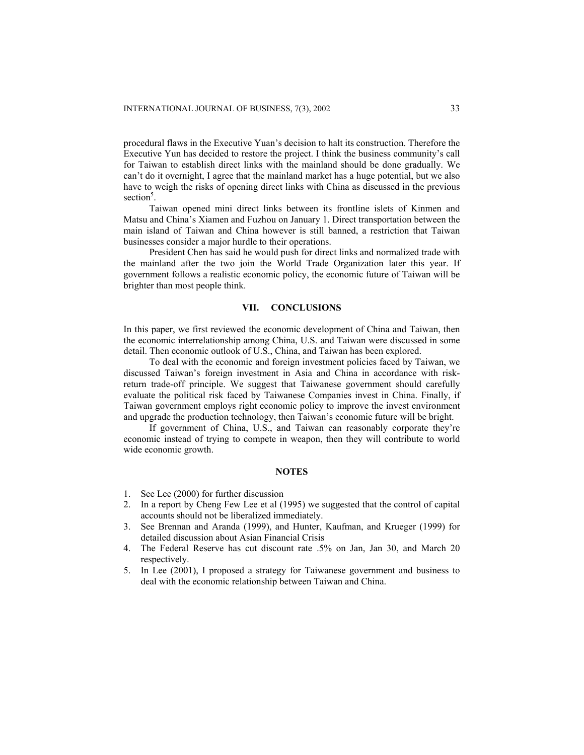procedural flaws in the Executive Yuan's decision to halt its construction. Therefore the Executive Yun has decided to restore the project. I think the business community's call for Taiwan to establish direct links with the mainland should be done gradually. We can't do it overnight, I agree that the mainland market has a huge potential, but we also have to weigh the risks of opening direct links with China as discussed in the previous section<sup>5</sup>.

Taiwan opened mini direct links between its frontline islets of Kinmen and Matsu and China's Xiamen and Fuzhou on January 1. Direct transportation between the main island of Taiwan and China however is still banned, a restriction that Taiwan businesses consider a major hurdle to their operations.

President Chen has said he would push for direct links and normalized trade with the mainland after the two join the World Trade Organization later this year. If government follows a realistic economic policy, the economic future of Taiwan will be brighter than most people think.

#### **VII. CONCLUSIONS**

In this paper, we first reviewed the economic development of China and Taiwan, then the economic interrelationship among China, U.S. and Taiwan were discussed in some detail. Then economic outlook of U.S., China, and Taiwan has been explored.

To deal with the economic and foreign investment policies faced by Taiwan, we discussed Taiwan's foreign investment in Asia and China in accordance with riskreturn trade-off principle. We suggest that Taiwanese government should carefully evaluate the political risk faced by Taiwanese Companies invest in China. Finally, if Taiwan government employs right economic policy to improve the invest environment and upgrade the production technology, then Taiwan's economic future will be bright.

If government of China, U.S., and Taiwan can reasonably corporate they're economic instead of trying to compete in weapon, then they will contribute to world wide economic growth.

## **NOTES**

- 1. See Lee (2000) for further discussion
- 2. In a report by Cheng Few Lee et al (1995) we suggested that the control of capital accounts should not be liberalized immediately.
- 3. See Brennan and Aranda (1999), and Hunter, Kaufman, and Krueger (1999) for detailed discussion about Asian Financial Crisis
- 4. The Federal Reserve has cut discount rate .5% on Jan, Jan 30, and March 20 respectively.
- 5. In Lee (2001), I proposed a strategy for Taiwanese government and business to deal with the economic relationship between Taiwan and China.